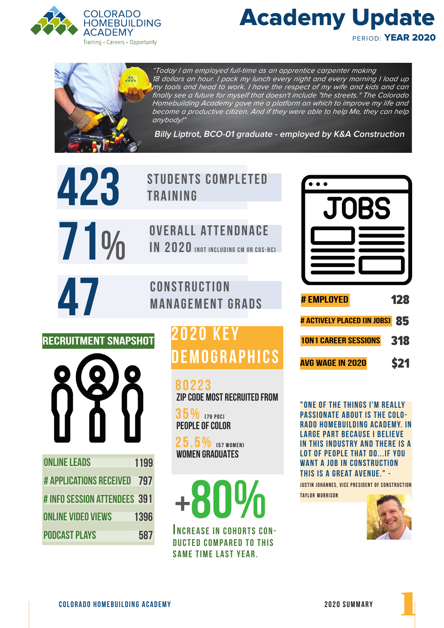





"Today I am employed full-time as an apprentice carpenter making 18 dollars an hour. I pack my lunch every night and every morning I load up my tools and head to work. I have the respect of my wife and kids and can finally see a future for myself that doesn't include "the streets." The Colorado Homebuilding Academy gave me a platform on which to improve my life and become a productive citizen. And if they were able to help Me, they can help anybody!"

**Billy Liptrot, BCO-01 graduate - employed by K&A Construction**

| 423                            |      | <b>STUDENTS COMPLETED</b><br><b>TRAINING</b>                                                                                                   |  |
|--------------------------------|------|------------------------------------------------------------------------------------------------------------------------------------------------|--|
|                                |      |                                                                                                                                                |  |
| $11\%$                         |      | <b>OVERALL ATTENDNACE</b><br>IN 2020 (NOT INCLUDING CM OR COS-BC)                                                                              |  |
|                                |      |                                                                                                                                                |  |
| 47                             |      | <b>CONSTRUCTION</b>                                                                                                                            |  |
|                                |      | <b>MANAGEMENT GRADS</b>                                                                                                                        |  |
| RECRUITMENT SNAPSHOT           |      | <b>2020 KEY</b><br>DEMOGRAPHICS<br>80223<br><b>ZIP CODE MOST RECRUITED FROM</b><br>35%<br>(79 P0C)<br><b>PEOPLE OF COLOR</b><br>$25.5\%$ [57 W |  |
| <b>ONLINE LEADS</b>            | 1199 | <b>WOMEN GRADUATES</b>                                                                                                                         |  |
| <b># APPLICATIONS RECEIVED</b> | 797  |                                                                                                                                                |  |
| # INFO SESSION ATTENDEES 391   |      | +80%                                                                                                                                           |  |
| <b>ONLINE VIDEO VIEWS</b>      | 1396 |                                                                                                                                                |  |
| PODCAST PLAYS                  | 587  | <b>INCREASE IN COHORTS CON-</b>                                                                                                                |  |

# K E Y **GRAPHICS**

I NCREASE IN COHORTS CON-DUCTED COMPARED TO THIS SAME TIME LAST YEAR.



" ONE OF THE THINGS I'M REALLY passionate about is the Colo-RADO HOMEBUILDING ACADEMY. IN **LARGE PART BECAUSE I BELIEVE** IN THIS INDUSTRY AND THERE IS A LOT OF PEOPLE THAT DO... IF YOU WANT A JOB IN CONSTRUCTION this is a great avenue." -

**JUSTIN JOHANNES, VICE PRESIDENT OF CONSTRUCTION Taylor MORRISON**



1